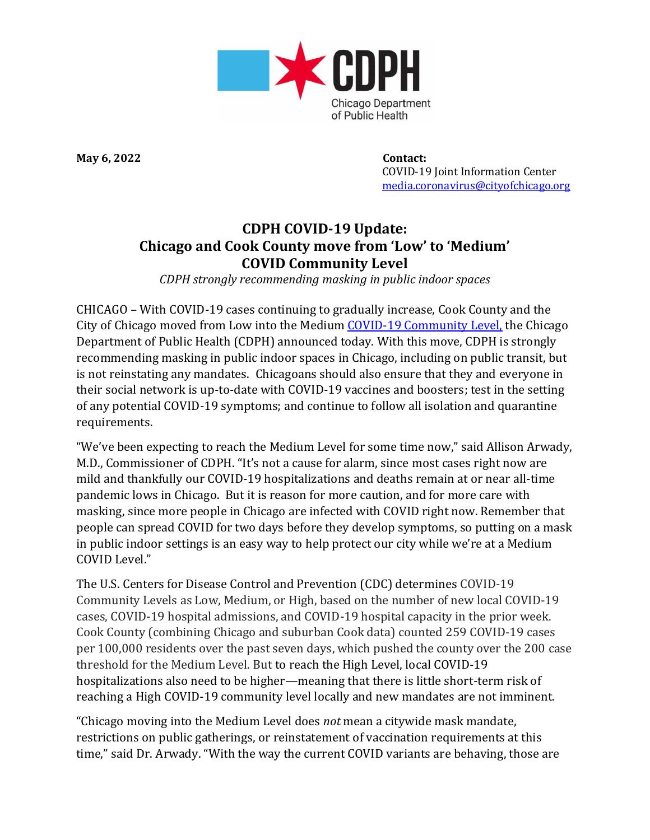

**May 6, 2022 Contact:**

 COVID-19 Joint Information Center [media.coronavirus@cityofchicago.org](mailto:media.coronavirus@cityofchicago.org)

## **CDPH COVID-19 Update: Chicago and Cook County move from 'Low' to 'Medium' COVID Community Level**

*CDPH strongly recommending masking in public indoor spaces*

CHICAGO – With COVID-19 cases continuing to gradually increase, Cook County and the City of Chicago moved from Low into the Medium COVID-19 [Community](https://covid.cdc.gov/covid-data-tracker/#county-view?list_select_state=all_states&list_select_county=all_counties&data-type=CommunityLevels) Level, the Chicago Department of Public Health (CDPH) announced today. With this move, CDPH is strongly recommending masking in public indoor spaces in Chicago, including on public transit, but is not reinstating any mandates. Chicagoans should also ensure that they and everyone in their social network is up-to-date with COVID-19 vaccines and boosters; test in the setting of any potential COVID-19 symptoms; and continue to follow all isolation and quarantine requirements.

"We've been expecting to reach the Medium Level for some time now," said Allison Arwady, M.D., Commissioner of CDPH. "It's not a cause for alarm, since most cases right now are mild and thankfully our COVID-19 hospitalizations and deaths remain at or near all-time pandemic lows in Chicago. But it is reason for more caution, and for more care with masking, since more people in Chicago are infected with COVID right now. Remember that people can spread COVID for two days before they develop symptoms, so putting on a mask in public indoor settings is an easy way to help protect our city while we're at a Medium COVID Level."

The U.S. Centers for Disease Control and Prevention (CDC) determines COVID-19 Community Levels as Low, Medium, or High, based on the number of new local COVID-19 cases, COVID-19 hospital admissions, and COVID-19 hospital capacity in the prior week. Cook County (combining Chicago and suburban Cook data) counted 259 COVID-19 cases per 100,000 residents over the past seven days, which pushed the county over the 200 case threshold for the Medium Level. But to reach the High Level, local COVID-19 hospitalizations also need to be higher—meaning that there is little short-term risk of reaching a High COVID-19 community level locally and new mandates are not imminent.

"Chicago moving into the Medium Level does *not* mean a citywide mask mandate, restrictions on public gatherings, or reinstatement of vaccination requirements at this time," said Dr. Arwady. "With the way the current COVID variants are behaving, those are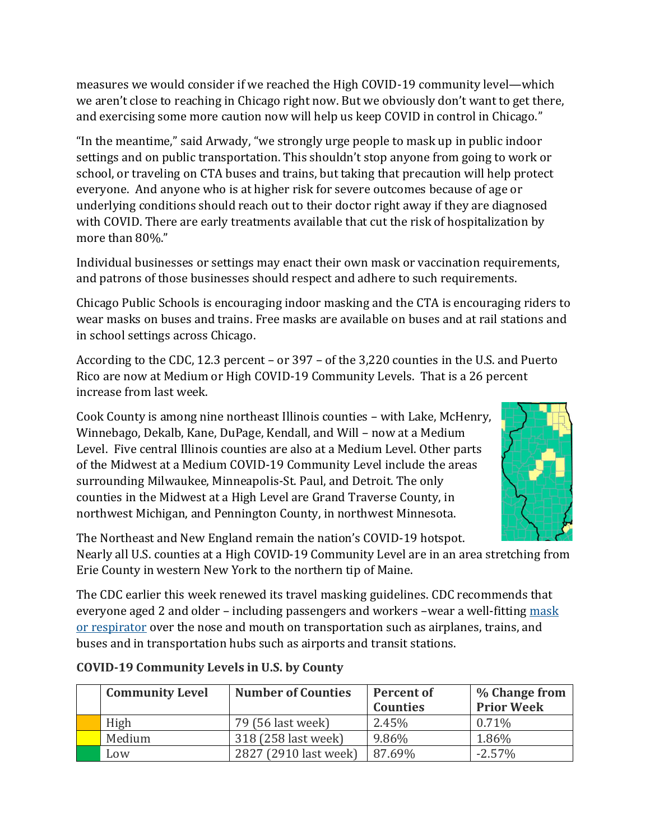measures we would consider if we reached the High COVID-19 community level—which we aren't close to reaching in Chicago right now. But we obviously don't want to get there, and exercising some more caution now will help us keep COVID in control in Chicago."

"In the meantime," said Arwady, "we strongly urge people to mask up in public indoor settings and on public transportation. This shouldn't stop anyone from going to work or school, or traveling on CTA buses and trains, but taking that precaution will help protect everyone. And anyone who is at higher risk for severe outcomes because of age or underlying conditions should reach out to their doctor right away if they are diagnosed with COVID. There are early treatments available that cut the risk of hospitalization by more than 80%."

Individual businesses or settings may enact their own mask or vaccination requirements, and patrons of those businesses should respect and adhere to such requirements.

Chicago Public Schools is encouraging indoor masking and the CTA is encouraging riders to wear masks on buses and trains. Free masks are available on buses and at rail stations and in school settings across Chicago.

According to the CDC, 12.3 percent – or 397 – of the 3,220 counties in the U.S. and Puerto Rico are now at Medium or High COVID-19 Community Levels. That is a 26 percent increase from last week.

Cook County is among nine northeast Illinois counties – with Lake, McHenry, Winnebago, Dekalb, Kane, DuPage, Kendall, and Will – now at a Medium Level. Five central Illinois counties are also at a Medium Level. Other parts of the Midwest at a Medium COVID-19 Community Level include the areas surrounding Milwaukee, Minneapolis-St. Paul, and Detroit. The only counties in the Midwest at a High Level are Grand Traverse County, in northwest Michigan, and Pennington County, in northwest Minnesota.



The Northeast and New England remain the nation's COVID-19 hotspot.

Nearly all U.S. counties at a High COVID-19 Community Level are in an area stretching from Erie County in western New York to the northern tip of Maine.

The CDC earlier this week renewed its travel masking guidelines. CDC recommends that everyone aged 2 and older – including passengers and workers –wear a well-fitting mask [or respirator](https://www.cdc.gov/coronavirus/2019-ncov/prevent-getting-sick/types-of-masks.html) over the nose and mouth on transportation such as airplanes, trains, and buses and in transportation hubs such as airports and transit stations.

| <b>Community Level</b> | <b>Number of Counties</b> | <b>Percent of</b><br><b>Counties</b> | % Change from<br><b>Prior Week</b> |
|------------------------|---------------------------|--------------------------------------|------------------------------------|
| High                   | 79 (56 last week)         | 2.45%                                | 0.71%                              |
| Medium                 | 318 (258 last week)       | 9.86%                                | 1.86%                              |
| Low                    | 2827 (2910 last week)     | 87.69%                               | $-2.57\%$                          |

## **COVID-19 Community Levels in U.S. by County**